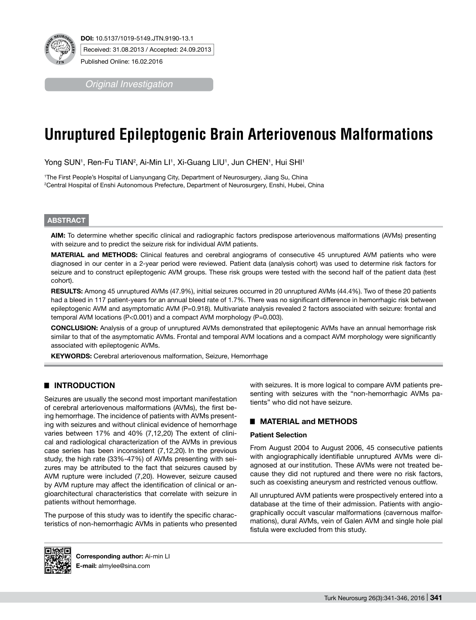

*Original Investigation*

# **Unruptured Epileptogenic Brain Arteriovenous Malformations**

Yong SUN1, Ren-Fu TIAN<sup>2</sup>, Ai-Min LI1, Xi-Guang LIU1, Jun CHEN1, Hui SHI1

1 The First People's Hospital of Lianyungang City, Department of Neurosurgery, Jiang Su, China 2 Central Hospital of Enshi Autonomous Prefecture, Department of Neurosurgery, Enshi, Hubei, China

# **ABSTRACT**

**AIm:** To determine whether specific clinical and radiographic factors predispose arteriovenous malformations (AVMs) presenting with seizure and to predict the seizure risk for individual AVM patients.

**MaterIal and Methods:** Clinical features and cerebral angiograms of consecutive 45 unruptured AVM patients who were diagnosed in our center in a 2-year period were reviewed. Patient data (analysis cohort) was used to determine risk factors for seizure and to construct epileptogenic AVM groups. These risk groups were tested with the second half of the patient data (test cohort).

**Results:** Among 45 unruptured AVMs (47.9%), initial seizures occurred in 20 unruptured AVMs (44.4%). Two of these 20 patients had a bleed in 117 patient-years for an annual bleed rate of 1.7%. There was no significant difference in hemorrhagic risk between epileptogenic AVM and asymptomatic AVM (P=0.918). Multivariate analysis revealed 2 factors associated with seizure: frontal and temporal AVM locations (P<0.001) and a compact AVM morphology (P=0.003).

**ConclusIon:** Analysis of a group of unruptured AVMs demonstrated that epileptogenic AVMs have an annual hemorrhage risk similar to that of the asymptomatic AVMs. Frontal and temporal AVM locations and a compact AVM morphology were significantly associated with epileptogenic AVMs.

**KEYWORDS:** Cerebral arteriovenous malformation, Seizure, Hemorrhage

# █ **INTRODUCTION**

Seizures are usually the second most important manifestation of cerebral arteriovenous malformations (AVMs), the first being hemorrhage. The incidence of patients with AVMs presenting with seizures and without clinical evidence of hemorrhage varies between 17% and 40% (7,12,20) The extent of clinical and radiological characterization of the AVMs in previous case series has been inconsistent (7,12,20). In the previous study, the high rate (33%-47%) of AVMs presenting with seizures may be attributed to the fact that seizures caused by AVM rupture were included (7,20). However, seizure caused by AVM rupture may affect the identification of clinical or angioarchitectural characteristics that correlate with seizure in patients without hemorrhage.

The purpose of this study was to identify the specific characteristics of non-hemorrhagic AVMs in patients who presented with seizures. It is more logical to compare AVM patients presenting with seizures with the "non-hemorrhagic AVMs patients" who did not have seizure.

# █ **MATERIAL and METHODS**

## **Patient Selection**

From August 2004 to August 2006, 45 consecutive patients with angiographically identifiable unruptured AVMs were diagnosed at our institution. These AVMs were not treated because they did not ruptured and there were no risk factors, such as coexisting aneurysm and restricted venous outflow.

All unruptured AVM patients were prospectively entered into a database at the time of their admission. Patients with angiographically occult vascular malformations (cavernous malformations), dural AVMs, vein of Galen AVM and single hole pial fistula were excluded from this study.



**Corresponding author:** Ai-min LI **E-mail:** almylee@sina.com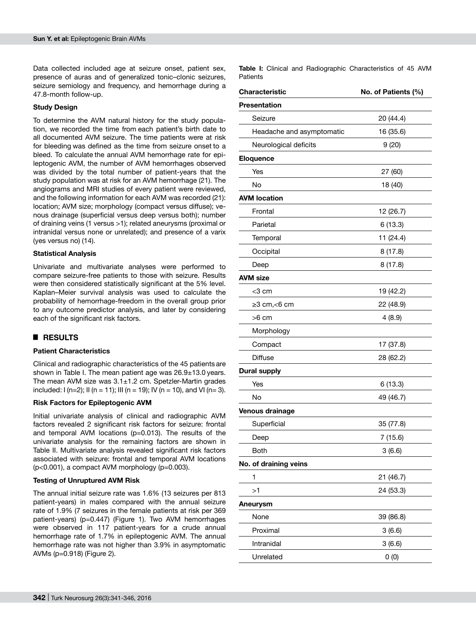Data collected included age at seizure onset, patient sex, presence of auras and of generalized tonic–clonic seizures, seizure semiology and frequency, and hemorrhage during a 47.8-month follow-up.

# **Study Design**

To determine the AVM natural history for the study population, we recorded the time from each patient's birth date to all documented AVM seizure. The time patients were at risk for bleeding was defined as the time from seizure onset to a bleed. To calculate the annual AVM hemorrhage rate for epileptogenic AVM, the number of AVM hemorrhages observed was divided by the total number of patient-years that the study population was at risk for an AVM hemorrhage (21). The angiograms and MRI studies of every patient were reviewed, and the following information for each AVM was recorded (21): location; AVM size; morphology (compact versus diffuse); venous drainage (superficial versus deep versus both); number of draining veins (1 versus >1); related aneurysms (proximal or intranidal versus none or unrelated); and presence of a varix (yes versus no) (14).

## **Statistical Analysis**

Univariate and multivariate analyses were performed to compare seizure-free patients to those with seizure. Results were then considered statistically significant at the 5% level. Kaplan–Meier survival analysis was used to calculate the probability of hemorrhage-freedom in the overall group prior to any outcome predictor analysis, and later by considering each of the significant risk factors.

# █ **RESULTS**

## **Patient Characteristics**

Clinical and radiographic characteristics of the 45 patients are shown in Table I. The mean patient age was  $26.9\pm13.0$  years. The mean AVM size was  $3.1 \pm 1.2$  cm. Spetzler-Martin grades included:  $I(n=2)$ ;  $II(n = 11)$ ;  $III(n = 19)$ ;  $IV(n = 10)$ , and  $VI(n = 3)$ .

#### **Risk Factors for Epileptogenic AVM**

Initial univariate analysis of clinical and radiographic AVM factors revealed 2 significant risk factors for seizure: frontal and temporal AVM locations (p=0.013). The results of the univariate analysis for the remaining factors are shown in Table II. Multivariate analysis revealed significant risk factors associated with seizure: frontal and temporal AVM locations (p<0.001), a compact AVM morphology (p=0.003).

#### **Testing of Unruptured AVM Risk**

The annual initial seizure rate was 1.6% (13 seizures per 813 patient-years) in males compared with the annual seizure rate of 1.9% (7 seizures in the female patients at risk per 369 patient-years) (p=0.447) (Figure 1). Two AVM hemorrhages were observed in 117 patient-years for a crude annual hemorrhage rate of 1.7% in epileptogenic AVM. The annual hemorrhage rate was not higher than 3.9% in asymptomatic AVMs (p=0.918) (Figure 2).

**Table I:** Clinical and Radiographic Characteristics of 45 AVM **Patients** 

| Characteristic            | No. of Patients (%) |  |  |  |
|---------------------------|---------------------|--|--|--|
| Presentation              |                     |  |  |  |
| Seizure                   | 20 (44.4)           |  |  |  |
| Headache and asymptomatic | 16 (35.6)           |  |  |  |
| Neurological deficits     | 9(20)               |  |  |  |
| Eloquence                 |                     |  |  |  |
| Yes                       | 27 (60)             |  |  |  |
| No                        | 18 (40)             |  |  |  |
| <b>AVM location</b>       |                     |  |  |  |
| Frontal                   | 12 (26.7)           |  |  |  |
| Parietal                  | 6(13.3)             |  |  |  |
| Temporal                  | 11 (24.4)           |  |  |  |
| Occipital                 | 8(17.8)             |  |  |  |
| Deep                      | 8(17.8)             |  |  |  |
| <b>AVM size</b>           |                     |  |  |  |
| <3 cm                     | 19 (42.2)           |  |  |  |
| $\geq$ 3 cm, $<$ 6 cm     | 22 (48.9)           |  |  |  |
| >6 cm                     | 4(8.9)              |  |  |  |
| Morphology                |                     |  |  |  |
| Compact                   | 17 (37.8)           |  |  |  |
| <b>Diffuse</b>            | 28 (62.2)           |  |  |  |
| <b>Dural supply</b>       |                     |  |  |  |
| Yes                       | 6(13.3)             |  |  |  |
| <b>No</b>                 | 49 (46.7)           |  |  |  |
| Venous drainage           |                     |  |  |  |
| Superficial               | 35 (77.8)           |  |  |  |
| Deep                      | 7(15.6)             |  |  |  |
| <b>Both</b>               | 3(6.6)              |  |  |  |
| No. of draining veins     |                     |  |  |  |
| 1                         | 21 (46.7)           |  |  |  |
| >1                        | 24 (53.3)           |  |  |  |
| <b>Aneurysm</b>           |                     |  |  |  |
| None                      | 39 (86.8)           |  |  |  |
| Proximal                  | 3(6.6)              |  |  |  |
| Intranidal                | 3(6.6)              |  |  |  |
| Unrelated                 | 0(0)                |  |  |  |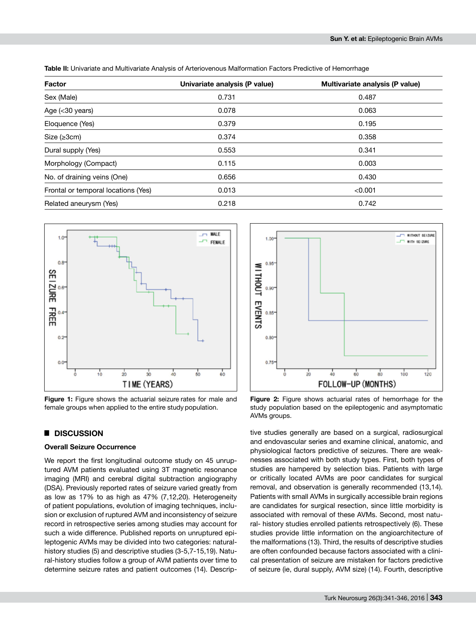**Table II:** Univariate and Multivariate Analysis of Arteriovenous Malformation Factors Predictive of Hemorrhage

| <b>Factor</b>                       | Univariate analysis (P value) | Multivariate analysis (P value) |  |  |
|-------------------------------------|-------------------------------|---------------------------------|--|--|
| Sex (Male)                          | 0.731                         | 0.487                           |  |  |
| Age (< 30 years)                    | 0.078                         | 0.063                           |  |  |
| Eloquence (Yes)                     | 0.379                         | 0.195                           |  |  |
| Size $(\geq 3cm)$                   | 0.374                         | 0.358                           |  |  |
| Dural supply (Yes)                  | 0.553                         | 0.341                           |  |  |
| Morphology (Compact)                | 0.115                         | 0.003                           |  |  |
| No. of draining veins (One)         | 0.656                         | 0.430                           |  |  |
| Frontal or temporal locations (Yes) | 0.013                         | < 0.001                         |  |  |
| Related aneurysm (Yes)              | 0.218                         | 0.742                           |  |  |



**Figure 1:** Figure shows the actuarial seizure rates for male and female groups when applied to the entire study population.

#### █ **DISCUSSION**

#### **Overall Seizure Occurrence**

We report the first longitudinal outcome study on 45 unruptured AVM patients evaluated using 3T magnetic resonance imaging (MRI) and cerebral digital subtraction angiography (DSA). Previously reported rates of seizure varied greatly from as low as 17% to as high as 47% (7,12,20). Heterogeneity of patient populations, evolution of imaging techniques, inclusion or exclusion of ruptured AVM and inconsistency of seizure record in retrospective series among studies may account for such a wide difference. Published reports on unruptured epileptogenic AVMs may be divided into two categories: naturalhistory studies (5) and descriptive studies (3-5,7-15,19). Natural-history studies follow a group of AVM patients over time to determine seizure rates and patient outcomes (14). Descrip-



**Figure 2:** Figure shows actuarial rates of hemorrhage for the study population based on the epileptogenic and asymptomatic AVMs groups.

tive studies generally are based on a surgical, radiosurgical and endovascular series and examine clinical, anatomic, and physiological factors predictive of seizures. There are weaknesses associated with both study types. First, both types of studies are hampered by selection bias. Patients with large or critically located AVMs are poor candidates for surgical removal, and observation is generally recommended (13,14). Patients with small AVMs in surgically accessible brain regions are candidates for surgical resection, since little morbidity is associated with removal of these AVMs. Second, most natural- history studies enrolled patients retrospectively (6). These studies provide little information on the angioarchitecture of the malformations (13). Third, the results of descriptive studies are often confounded because factors associated with a clinical presentation of seizure are mistaken for factors predictive of seizure (ie, dural supply, AVM size) (14). Fourth, descriptive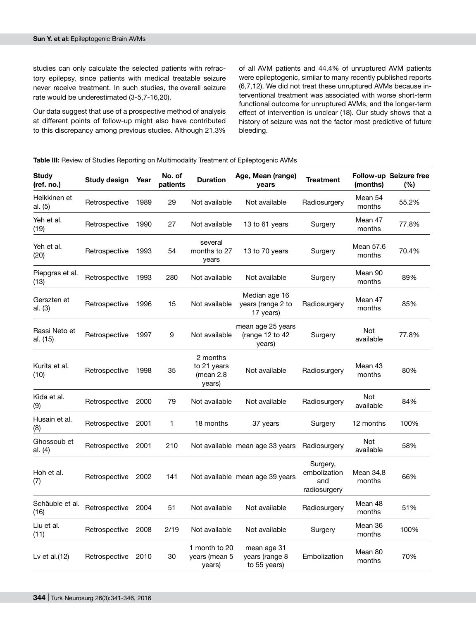studies can only calculate the selected patients with refractory epilepsy, since patients with medical treatable seizure never receive treatment. In such studies, the overall seizure rate would be underestimated (3-5,7-16,20).

Our data suggest that use of a prospective method of analysis at different points of follow-up might also have contributed to this discrepancy among previous studies. Although 21.3% of all AVM patients and 44.4% of unruptured AVM patients were epileptogenic, similar to many recently published reports (6,7,12). We did not treat these unruptured AVMs because interventional treatment was associated with worse short-term functional outcome for unruptured AVMs, and the longer-term effect of intervention is unclear (18). Our study shows that a history of seizure was not the factor most predictive of future bleeding.

#### **Table III:** Review of Studies Reporting on Multimodality Treatment of Epileptogenic AVMs

| <b>Study</b><br>(ref. no.) | Study design  | Year | No. of<br>patients | <b>Duration</b>                                  | Age, Mean (range)<br>years                      | <b>Treatment</b>                                | (months)            | <b>Follow-up Seizure free</b><br>$(\%)$ |
|----------------------------|---------------|------|--------------------|--------------------------------------------------|-------------------------------------------------|-------------------------------------------------|---------------------|-----------------------------------------|
| Heikkinen et<br>al. (5)    | Retrospective | 1989 | 29                 | Not available                                    | Not available                                   | Radiosurgery                                    | Mean 54<br>months   | 55.2%                                   |
| Yeh et al.<br>(19)         | Retrospective | 1990 | 27                 | Not available                                    | 13 to 61 years                                  | Surgery                                         | Mean 47<br>months   | 77.8%                                   |
| Yeh et al.<br>(20)         | Retrospective | 1993 | 54                 | several<br>months to 27<br>years                 | 13 to 70 years                                  | Surgery                                         | Mean 57.6<br>months | 70.4%                                   |
| Piepgras et al.<br>(13)    | Retrospective | 1993 | 280                | Not available                                    | Not available                                   | Surgery                                         | Mean 90<br>months   | 89%                                     |
| Gerszten et<br>al. (3)     | Retrospective | 1996 | 15                 | Not available                                    | Median age 16<br>years (range 2 to<br>17 years) | Radiosurgery                                    | Mean 47<br>months   | 85%                                     |
| Rassi Neto et<br>al. (15)  | Retrospective | 1997 | 9                  | Not available                                    | mean age 25 years<br>(range 12 to 42<br>years)  | Surgery                                         | Not<br>available    | 77.8%                                   |
| Kurita et al.<br>(10)      | Retrospective | 1998 | 35                 | 2 months<br>to 21 years<br>(mean $2.8$<br>years) | Not available                                   | Radiosurgery                                    | Mean 43<br>months   | 80%                                     |
| Kida et al.<br>(9)         | Retrospective | 2000 | 79                 | Not available                                    | Not available                                   | Radiosurgery                                    | Not<br>available    | 84%                                     |
| Husain et al.<br>(8)       | Retrospective | 2001 | 1                  | 18 months                                        | 37 years                                        | Surgery                                         | 12 months           | 100%                                    |
| Ghossoub et<br>al. (4)     | Retrospective | 2001 | 210                |                                                  | Not available mean age 33 years                 | Radiosurgery                                    | Not<br>available    | 58%                                     |
| Hoh et al.<br>(7)          | Retrospective | 2002 | 141                |                                                  | Not available mean age 39 years                 | Surgery,<br>embolization<br>and<br>radiosurgery | Mean 34.8<br>months | 66%                                     |
| Schäuble et al.<br>(16)    | Retrospective | 2004 | 51                 | Not available                                    | Not available                                   | Radiosurgery                                    | Mean 48<br>months   | 51%                                     |
| Liu et al.<br>(11)         | Retrospective | 2008 | 2/19               | Not available                                    | Not available                                   | Surgery                                         | Mean 36<br>months   | 100%                                    |
| Lv et al.(12)              | Retrospective | 2010 | 30                 | 1 month to 20<br>years (mean 5<br>years)         | mean age 31<br>years (range 8<br>to 55 years)   | Embolization                                    | Mean 80<br>months   | 70%                                     |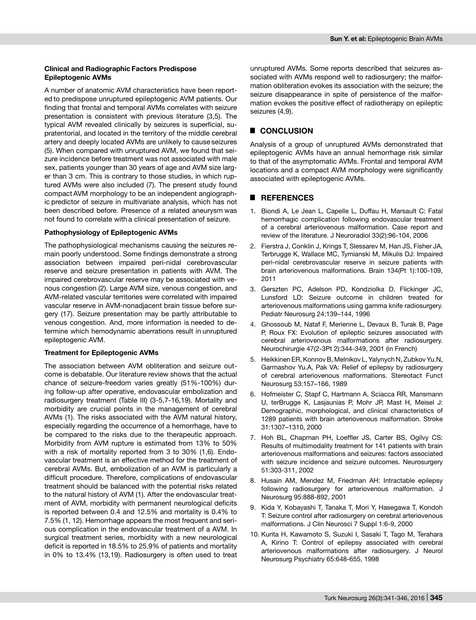#### **Clinical and Radiographic Factors Predispose Epileptogenic AVMs**

A number of anatomic AVM characteristics have been reported to predispose unruptured epileptogenic AVM patients. Our finding that frontal and temporal AVMs correlates with seizure presentation is consistent with previous literature (3,5). The typical AVM revealed clinically by seizures is superficial, supratentorial, and located in the territory of the middle cerebral artery and deeply located AVMs are unlikely to cause seizures (5). When compared with unruptured AVM, we found that seizure incidence before treatment was not associated with male sex, patients younger than 30 years of age and AVM size larger than 3 cm. This is contrary to those studies, in which ruptured AVMs were also included (7). The present study found compact AVM morphology to be an independent angiographic predictor of seizure in multivariate analysis, which has not been described before. Presence of a related aneurysm was not found to correlate with a clinical presentation of seizure.

#### **Pathophysiology of Epileptogenic AVMs**

The pathophysiological mechanisms causing the seizures remain poorly understood. Some findings demonstrate a strong association between impaired peri-nidal cerebrovascular reserve and seizure presentation in patients with AVM. The impaired cerebrovascular reserve may be associated with venous congestion (2). Large AVM size, venous congestion, and AVM-related vascular territories were correlated with impaired vascular reserve in AVM-nonadjacent brain tissue before surgery (17). Seizure presentation may be partly attributable to venous congestion. And, more information is needed to determine which hemodynamic aberrations result in unruptured epileptogenic AVM.

#### **Treatment for Epileptogenic AVMs**

The association between AVM obliteration and seizure outcome is debatable. Our literature review shows that the actual chance of seizure-freedom varies greatly (51%-100%) during follow-up after operative, endovascular embolization and radiosurgery treatment (Table III) (3-5,7-16,19). Mortality and morbidity are crucial points in the management of cerebral AVMs (1). The risks associated with the AVM natural history, especially regarding the occurrence of a hemorrhage, have to be compared to the risks due to the therapeutic approach. Morbidity from AVM rupture is estimated from 13% to 50% with a risk of mortality reported from 3 to 30% (1,6). Endovascular treatment is an effective method for the treatment of cerebral AVMs. But, embolization of an AVM is particularly a difficult procedure. Therefore, complications of endovascular treatment should be balanced with the potential risks related to the natural history of AVM (1). After the endovascular treatment of AVM, morbidity with permanent neurological deficits is reported between 0.4 and 12.5% and mortality is 0.4% to 7.5% (1, 12). Hemorrhage appears the most frequent and serious complication in the endovascular treatment of a AVM. In surgical treatment series, morbidity with a new neurological deficit is reported in 18.5% to 25.9% of patients and mortality in 0% to 13.4% (13,19). Radiosurgery is often used to treat

unruptured AVMs. Some reports described that seizures associated with AVMs respond well to radiosurgery; the malformation obliteration evokes its association with the seizure; the seizure disappearance in spite of persistence of the malformation evokes the positive effect of radiotherapy on epileptic seizures (4,9).

# █ **CONCLUSION**

Analysis of a group of unruptured AVMs demonstrated that epileptogenic AVMs have an annual hemorrhage risk similar to that of the asymptomatic AVMs. Frontal and temporal AVM locations and a compact AVM morphology were significantly associated with epileptogenic AVMs.

#### █ **REFERENCES**

- 1. Biondi A, Le Jean L, Capelle L, Duffau H, Marsault C: Fatal hemorrhagic complication following endovascular treatment of a cerebral arteriovenous malformation. Case report and review of the literature. J Neuroradiol 33(2):96-104, 2006
- 2. Fierstra J, Conklin J, Krings T, Slessarev M, Han JS, Fisher JA, Terbrugge K, Wallace MC, Tymianski M, Mikulis DJ: Impaired peri-nidal cerebrovascular reserve in seizure patients with brain arteriovenous malformations. Brain 134(Pt 1):100-109, 2011
- 3. Gerszten PC, Adelson PD, Kondziolka D, Flickinger JC, Lunsford LD: Seizure outcome in children treated for arteriovenous malformations using gamma knife radiosurgery. Pediatr Neurosurg 24:139–144, 1996
- 4. Ghossoub M, Nataf F, Merienne L, Devaux B, Turak B, Page P, Roux FX: Evolution of epileptic seizures associated with cerebral arteriovenous malformations after radiosurgery. Neurochirurgie 47(2-3Pt 2):344-349, 2001 (in French)
- 5. Heikkinen ER, Konnov B, Melnikov L, Yalynych N, Zubkov Yu.N, Garmashov Yu.A, Pak VA: Relief of epilepsy by radiosurgery of cerebral arteriovenous malformations. Stereotact Funct Neurosurg 53:157–166, 1989
- 6. Hofmeister C, Stapf C, Hartmann A, Sciacca RR, Mansmann U, terBrugge K, Lasjaunias P, Mohr JP, Mast H, Meisel J: Demographic, morphological, and clinical characteristics of 1289 patients with brain arteriovenous malformation. Stroke 31:1307–1310, 2000
- 7. Hoh BL, Chapman PH, Loeffler JS, Carter BS, Ogilvy CS: Results of multimodality treatment for 141 patients with brain arteriovenous malformations and seizures: factors associated with seizure incidence and seizure outcomes. Neurosurgery 51:303-311, 2002
- 8. Husain AM, Mendez M, Friedman AH: Intractable epilepsy following radiosurgery for arteriovenous malformation. J Neurosurg 95:888-892, 2001
- 9. Kida Y, Kobayashi T, Tanaka T, Mori Y, Hasegawa T, Kondoh T: Seizure control after radiosurgery on cerebral arteriovenous malformations. J Clin Neurosci 7 Suppl 1:6-9, 2000
- 10. Kurita H, Kawamoto S, Suzuki I, Sasaki T, Tago M, Terahara A, Kirino T: Control of epilepsy associated with cerebral arteriovenous malformations after radiosurgery. J Neurol Neurosurg Psychiatry 65:648-655, 1998